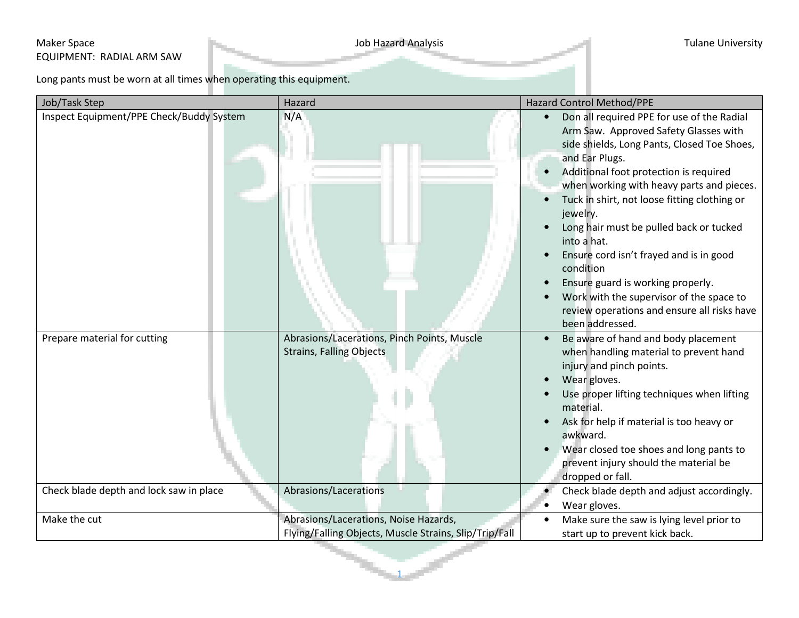## Maker Space **Maker Space** Tulane University EQUIPMENT: RADIAL ARM SAW

Long pants must be worn at all times when operating this equipment.

| Job/Task Step                                                           | Hazard                                                                                                  | Hazard Control Method/PPE                                                                                                                                                                                                                                                                                                                                                                                                                                                                                                                                                                 |
|-------------------------------------------------------------------------|---------------------------------------------------------------------------------------------------------|-------------------------------------------------------------------------------------------------------------------------------------------------------------------------------------------------------------------------------------------------------------------------------------------------------------------------------------------------------------------------------------------------------------------------------------------------------------------------------------------------------------------------------------------------------------------------------------------|
| Inspect Equipment/PPE Check/Buddy System                                | N/A                                                                                                     | Don all required PPE for use of the Radial<br>Arm Saw. Approved Safety Glasses with<br>side shields, Long Pants, Closed Toe Shoes,<br>and Ear Plugs.<br>Additional foot protection is required<br>$\bullet$<br>when working with heavy parts and pieces.<br>Tuck in shirt, not loose fitting clothing or<br>jewelry.<br>Long hair must be pulled back or tucked<br>into a hat.<br>Ensure cord isn't frayed and is in good<br>condition<br>Ensure guard is working properly.<br>Work with the supervisor of the space to<br>review operations and ensure all risks have<br>been addressed. |
| Prepare material for cutting<br>Check blade depth and lock saw in place | Abrasions/Lacerations, Pinch Points, Muscle<br><b>Strains, Falling Objects</b><br>Abrasions/Lacerations | Be aware of hand and body placement<br>$\bullet$<br>when handling material to prevent hand<br>injury and pinch points.<br>Wear gloves.<br>Use proper lifting techniques when lifting<br>material.<br>Ask for help if material is too heavy or<br>awkward.<br>Wear closed toe shoes and long pants to<br>$\bullet$<br>prevent injury should the material be<br>dropped or fall.<br>Check blade depth and adjust accordingly.                                                                                                                                                               |
| Make the cut                                                            | Abrasions/Lacerations, Noise Hazards,                                                                   | Wear gloves.<br>Make sure the saw is lying level prior to                                                                                                                                                                                                                                                                                                                                                                                                                                                                                                                                 |
|                                                                         | Flying/Falling Objects, Muscle Strains, Slip/Trip/Fall                                                  | start up to prevent kick back.                                                                                                                                                                                                                                                                                                                                                                                                                                                                                                                                                            |

1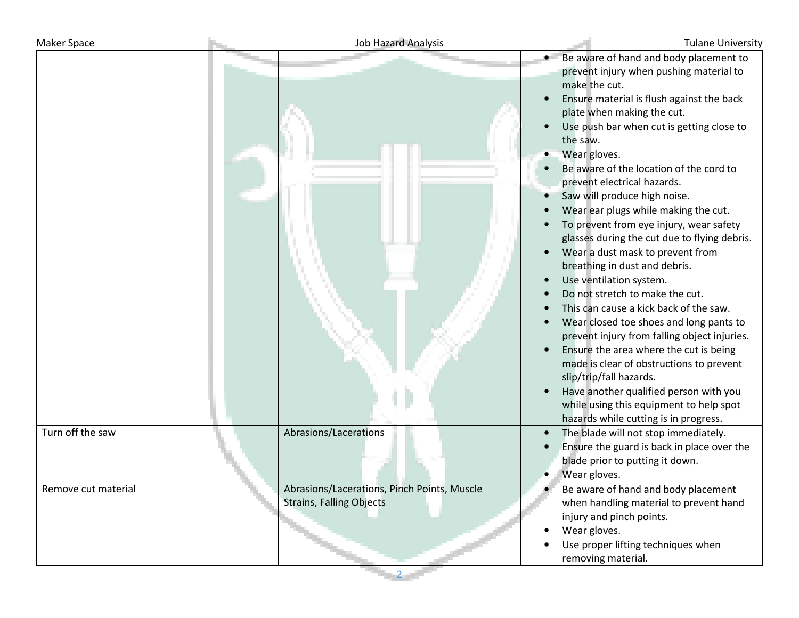| <b>Maker Space</b>  | <b>Job Hazard Analysis</b>                                                     |                                                                                                                                                                                                                                                                                                                                                                                                                                                                                                                                                                                                                        | <b>Tulane University</b>                                                                                                                                                                                                                                                                                                                                                                                      |
|---------------------|--------------------------------------------------------------------------------|------------------------------------------------------------------------------------------------------------------------------------------------------------------------------------------------------------------------------------------------------------------------------------------------------------------------------------------------------------------------------------------------------------------------------------------------------------------------------------------------------------------------------------------------------------------------------------------------------------------------|---------------------------------------------------------------------------------------------------------------------------------------------------------------------------------------------------------------------------------------------------------------------------------------------------------------------------------------------------------------------------------------------------------------|
|                     |                                                                                | make the cut.<br>plate when making the cut.<br>the saw.<br>Wear gloves.<br>Be aware of the location of the cord to<br>prevent electrical hazards.<br>Saw will produce high noise.<br>Wear ear plugs while making the cut.<br>To prevent from eye injury, wear safety<br>Wear a dust mask to prevent from<br>breathing in dust and debris.<br>Use ventilation system.<br>Do not stretch to make the cut.<br>This can cause a kick back of the saw.<br>Ensure the area where the cut is being<br>$\bullet$<br>slip/trip/fall hazards.<br>Have another qualified person with you<br>hazards while cutting is in progress. | Be aware of hand and body placement to<br>prevent injury when pushing material to<br>Ensure material is flush against the back<br>Use push bar when cut is getting close to<br>glasses during the cut due to flying debris.<br>Wear closed toe shoes and long pants to<br>prevent injury from falling object injuries.<br>made is clear of obstructions to prevent<br>while using this equipment to help spot |
| Turn off the saw    | Abrasions/Lacerations                                                          | The blade will not stop immediately.<br>blade prior to putting it down.<br>Wear gloves.                                                                                                                                                                                                                                                                                                                                                                                                                                                                                                                                | Ensure the guard is back in place over the                                                                                                                                                                                                                                                                                                                                                                    |
| Remove cut material | Abrasions/Lacerations, Pinch Points, Muscle<br><b>Strains, Falling Objects</b> | Be aware of hand and body placement<br>injury and pinch points.<br>Wear gloves.<br>٠<br>Use proper lifting techniques when<br>removing material.                                                                                                                                                                                                                                                                                                                                                                                                                                                                       | when handling material to prevent hand                                                                                                                                                                                                                                                                                                                                                                        |

2